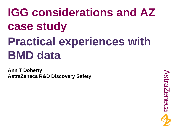# **IGG considerations and AZ case study Practical experiences with BMD data**

**Ann T Doherty AstraZeneca R&D Discovery Safety**

**AstraZeneca**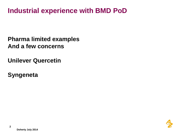## **Industrial experience with BMD PoD**

**Pharma limited examples And a few concerns** 

**Unilever Quercetin**

**Syngeneta**

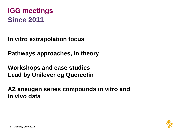## **IGG meetings Since 2011**

**In vitro extrapolation focus**

**Pathways approaches, in theory**

**Workshops and case studies Lead by Unilever eg Quercetin**

**AZ aneugen series compounds in vitro and in vivo data**

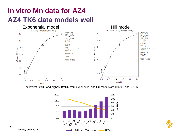## **In vitro Mn data for AZ4 AZ4 TK6 data models well**



The lowest BMDL and highest BMDU from exponential and Hill models are:0.0291 and 0.1066





**Doherty July 2014**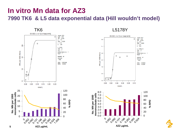#### **In vitro Mn data for AZ3 7990 TK6 & L5 data exponential data (Hill wouldn't model)**



L5178Y



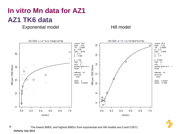# **In vitro Mn data for AZ1 AZ1 TK6 data**

Exponential model Hill model





The lowest BMDL and highest BMDU from exponential and Hill models are:0 and 0.0071 **Doherty July 2014**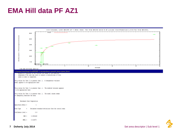### **EMA Hill data PF AZ1**

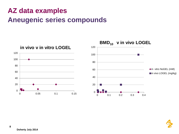# **AZ data examples Aneugenic series compounds**



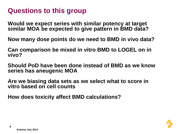## **Questions to this group**

**Would we expect series with similar potency at target similar MOA be expected to give pattern in BMD data?**

**Now many dose points do we need to BMD in vivo data?**

**Can comparison be mixed in vitro BMD to LOGEL on in vivo?**

**Should PoD have been done instead of BMD as we know series has aneugenic MOA**

**Are we biasing data sets as we select what to score in vitro based on cell counts**

**How does toxicity affect BMD calculations?**